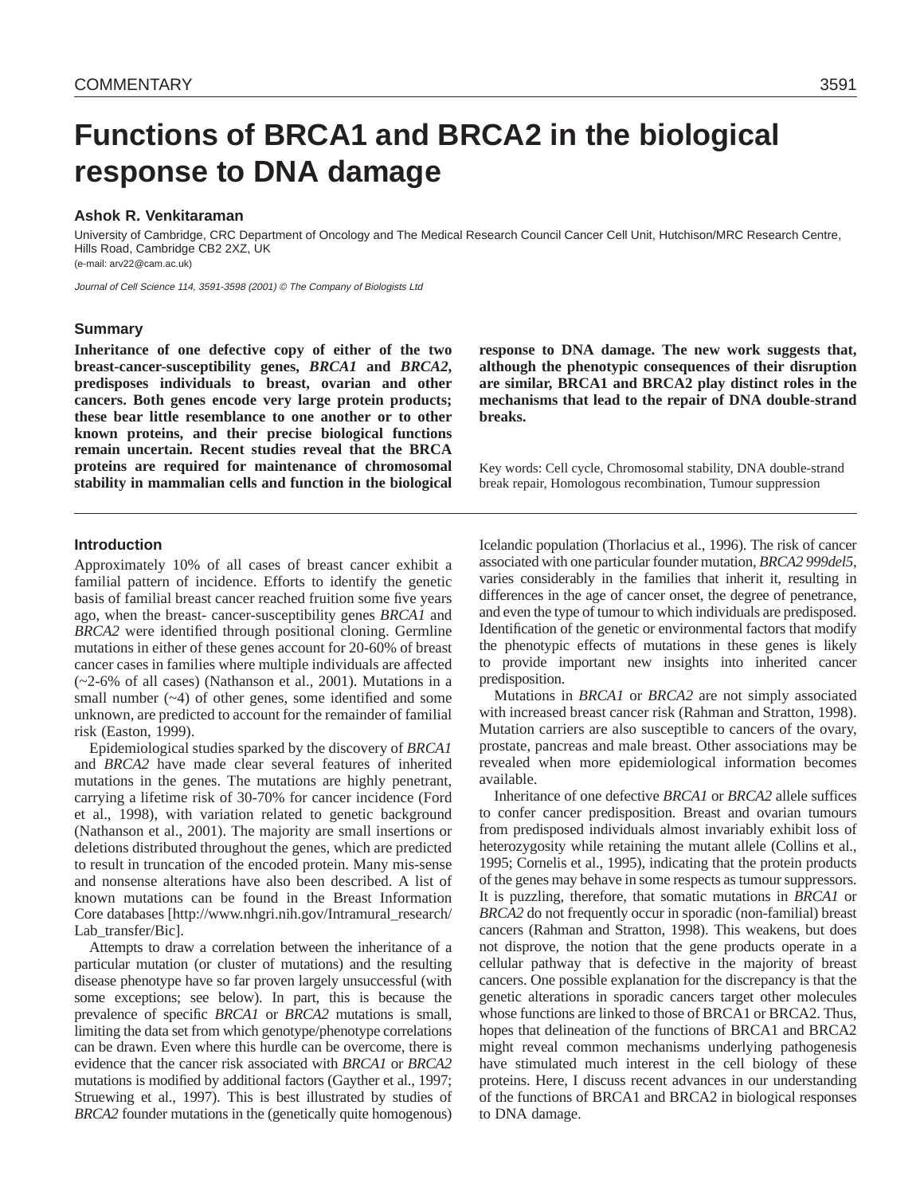# **Functions of BRCA1 and BRCA2 in the biological response to DNA damage**

# **Ashok R. Venkitaraman**

University of Cambridge, CRC Department of Oncology and The Medical Research Council Cancer Cell Unit, Hutchison/MRC Research Centre, Hills Road, Cambridge CB2 2XZ, UK (e-mail: arv22@cam.ac.uk)

Journal of Cell Science 114, 3591-3598 (2001) © The Company of Biologists Ltd

# **Summary**

**Inheritance of one defective copy of either of the two breast-cancer-susceptibility genes,** *BRCA1* **and** *BRCA2***, predisposes individuals to breast, ovarian and other cancers. Both genes encode very large protein products; these bear little resemblance to one another or to other known proteins, and their precise biological functions remain uncertain. Recent studies reveal that the BRCA proteins are required for maintenance of chromosomal stability in mammalian cells and function in the biological** **response to DNA damage. The new work suggests that, although the phenotypic consequences of their disruption are similar, BRCA1 and BRCA2 play distinct roles in the mechanisms that lead to the repair of DNA double-strand breaks.**

Key words: Cell cycle, Chromosomal stability, DNA double-strand break repair, Homologous recombination, Tumour suppression

# **Introduction**

Approximately 10% of all cases of breast cancer exhibit a familial pattern of incidence. Efforts to identify the genetic basis of familial breast cancer reached fruition some five years ago, when the breast- cancer-susceptibility genes *BRCA1* and *BRCA2* were identified through positional cloning. Germline mutations in either of these genes account for 20-60% of breast cancer cases in families where multiple individuals are affected (~2-6% of all cases) (Nathanson et al., 2001). Mutations in a small number  $(-4)$  of other genes, some identified and some unknown, are predicted to account for the remainder of familial risk (Easton, 1999).

Epidemiological studies sparked by the discovery of *BRCA1* and *BRCA2* have made clear several features of inherited mutations in the genes. The mutations are highly penetrant, carrying a lifetime risk of 30-70% for cancer incidence (Ford et al., 1998), with variation related to genetic background (Nathanson et al., 2001). The majority are small insertions or deletions distributed throughout the genes, which are predicted to result in truncation of the encoded protein. Many mis-sense and nonsense alterations have also been described. A list of known mutations can be found in the Breast Information Core databases [http://www.nhgri.nih.gov/Intramural\_research/ Lab transfer/Bic].

Attempts to draw a correlation between the inheritance of a particular mutation (or cluster of mutations) and the resulting disease phenotype have so far proven largely unsuccessful (with some exceptions; see below). In part, this is because the prevalence of specific *BRCA1* or *BRCA2* mutations is small, limiting the data set from which genotype/phenotype correlations can be drawn. Even where this hurdle can be overcome, there is evidence that the cancer risk associated with *BRCA1* or *BRCA2* mutations is modified by additional factors (Gayther et al., 1997; Struewing et al., 1997). This is best illustrated by studies of *BRCA2* founder mutations in the (genetically quite homogenous) Icelandic population (Thorlacius et al., 1996). The risk of cancer associated with one particular founder mutation, *BRCA2 999del5*, varies considerably in the families that inherit it, resulting in differences in the age of cancer onset, the degree of penetrance, and even the type of tumour to which individuals are predisposed. Identification of the genetic or environmental factors that modify the phenotypic effects of mutations in these genes is likely to provide important new insights into inherited cancer predisposition.

Mutations in *BRCA1* or *BRCA2* are not simply associated with increased breast cancer risk (Rahman and Stratton, 1998). Mutation carriers are also susceptible to cancers of the ovary, prostate, pancreas and male breast. Other associations may be revealed when more epidemiological information becomes available.

Inheritance of one defective *BRCA1* or *BRCA2* allele suffices to confer cancer predisposition. Breast and ovarian tumours from predisposed individuals almost invariably exhibit loss of heterozygosity while retaining the mutant allele (Collins et al., 1995; Cornelis et al., 1995), indicating that the protein products of the genes may behave in some respects as tumour suppressors. It is puzzling, therefore, that somatic mutations in *BRCA1* or *BRCA2* do not frequently occur in sporadic (non-familial) breast cancers (Rahman and Stratton, 1998). This weakens, but does not disprove, the notion that the gene products operate in a cellular pathway that is defective in the majority of breast cancers. One possible explanation for the discrepancy is that the genetic alterations in sporadic cancers target other molecules whose functions are linked to those of BRCA1 or BRCA2. Thus, hopes that delineation of the functions of BRCA1 and BRCA2 might reveal common mechanisms underlying pathogenesis have stimulated much interest in the cell biology of these proteins. Here, I discuss recent advances in our understanding of the functions of BRCA1 and BRCA2 in biological responses to DNA damage.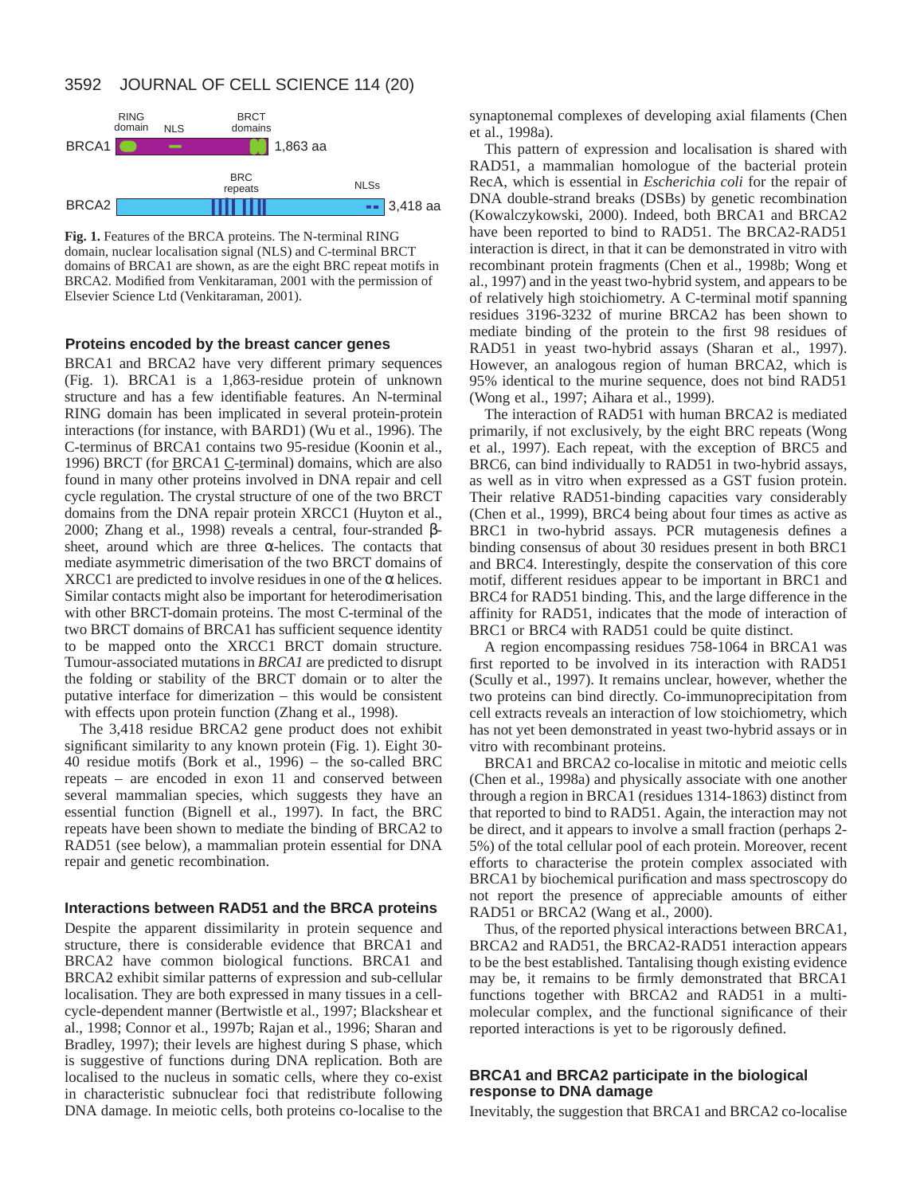# 3592 JOURNAL OF CELL SCIENCE 114 (20)



**Fig. 1.** Features of the BRCA proteins. The N-terminal RING domain, nuclear localisation signal (NLS) and C-terminal BRCT domains of BRCA1 are shown, as are the eight BRC repeat motifs in BRCA2. Modified from Venkitaraman, 2001 with the permission of Elsevier Science Ltd (Venkitaraman, 2001).

# **Proteins encoded by the breast cancer genes**

BRCA1 and BRCA2 have very different primary sequences (Fig. 1). BRCA1 is a 1,863-residue protein of unknown structure and has a few identifiable features. An N-terminal RING domain has been implicated in several protein-protein interactions (for instance, with BARD1) (Wu et al., 1996). The C-terminus of BRCA1 contains two 95-residue (Koonin et al., 1996) BRCT (for **BRCA1** C-terminal) domains, which are also found in many other proteins involved in DNA repair and cell cycle regulation. The crystal structure of one of the two BRCT domains from the DNA repair protein XRCC1 (Huyton et al., 2000; Zhang et al., 1998) reveals a central, four-stranded βsheet, around which are three  $\alpha$ -helices. The contacts that mediate asymmetric dimerisation of the two BRCT domains of XRCC1 are predicted to involve residues in one of the  $\alpha$  helices. Similar contacts might also be important for heterodimerisation with other BRCT-domain proteins. The most C-terminal of the two BRCT domains of BRCA1 has sufficient sequence identity to be mapped onto the XRCC1 BRCT domain structure. Tumour-associated mutations in *BRCA1* are predicted to disrupt the folding or stability of the BRCT domain or to alter the putative interface for dimerization – this would be consistent with effects upon protein function (Zhang et al., 1998).

The 3,418 residue BRCA2 gene product does not exhibit significant similarity to any known protein (Fig. 1). Eight 30- 40 residue motifs (Bork et al., 1996) – the so-called BRC repeats – are encoded in exon 11 and conserved between several mammalian species, which suggests they have an essential function (Bignell et al., 1997). In fact, the BRC repeats have been shown to mediate the binding of BRCA2 to RAD51 (see below), a mammalian protein essential for DNA repair and genetic recombination.

# **Interactions between RAD51 and the BRCA proteins**

Despite the apparent dissimilarity in protein sequence and structure, there is considerable evidence that BRCA1 and BRCA2 have common biological functions. BRCA1 and BRCA2 exhibit similar patterns of expression and sub-cellular localisation. They are both expressed in many tissues in a cellcycle-dependent manner (Bertwistle et al., 1997; Blackshear et al., 1998; Connor et al., 1997b; Rajan et al., 1996; Sharan and Bradley, 1997); their levels are highest during S phase, which is suggestive of functions during DNA replication. Both are localised to the nucleus in somatic cells, where they co-exist in characteristic subnuclear foci that redistribute following DNA damage. In meiotic cells, both proteins co-localise to the

synaptonemal complexes of developing axial filaments (Chen et al., 1998a).

This pattern of expression and localisation is shared with RAD51, a mammalian homologue of the bacterial protein RecA, which is essential in *Escherichia coli* for the repair of DNA double-strand breaks (DSBs) by genetic recombination (Kowalczykowski, 2000). Indeed, both BRCA1 and BRCA2 have been reported to bind to RAD51. The BRCA2-RAD51 interaction is direct, in that it can be demonstrated in vitro with recombinant protein fragments (Chen et al., 1998b; Wong et al., 1997) and in the yeast two-hybrid system, and appears to be of relatively high stoichiometry. A C-terminal motif spanning residues 3196-3232 of murine BRCA2 has been shown to mediate binding of the protein to the first 98 residues of RAD51 in yeast two-hybrid assays (Sharan et al., 1997). However, an analogous region of human BRCA2, which is 95% identical to the murine sequence, does not bind RAD51 (Wong et al., 1997; Aihara et al., 1999).

The interaction of RAD51 with human BRCA2 is mediated primarily, if not exclusively, by the eight BRC repeats (Wong et al., 1997). Each repeat, with the exception of BRC5 and BRC6, can bind individually to RAD51 in two-hybrid assays, as well as in vitro when expressed as a GST fusion protein. Their relative RAD51-binding capacities vary considerably (Chen et al., 1999), BRC4 being about four times as active as BRC1 in two-hybrid assays. PCR mutagenesis defines a binding consensus of about 30 residues present in both BRC1 and BRC4. Interestingly, despite the conservation of this core motif, different residues appear to be important in BRC1 and BRC4 for RAD51 binding. This, and the large difference in the affinity for RAD51, indicates that the mode of interaction of BRC1 or BRC4 with RAD51 could be quite distinct.

A region encompassing residues 758-1064 in BRCA1 was first reported to be involved in its interaction with RAD51 (Scully et al., 1997). It remains unclear, however, whether the two proteins can bind directly. Co-immunoprecipitation from cell extracts reveals an interaction of low stoichiometry, which has not yet been demonstrated in yeast two-hybrid assays or in vitro with recombinant proteins.

BRCA1 and BRCA2 co-localise in mitotic and meiotic cells (Chen et al., 1998a) and physically associate with one another through a region in BRCA1 (residues 1314-1863) distinct from that reported to bind to RAD51. Again, the interaction may not be direct, and it appears to involve a small fraction (perhaps 2- 5%) of the total cellular pool of each protein. Moreover, recent efforts to characterise the protein complex associated with BRCA1 by biochemical purification and mass spectroscopy do not report the presence of appreciable amounts of either RAD51 or BRCA2 (Wang et al., 2000).

Thus, of the reported physical interactions between BRCA1, BRCA2 and RAD51, the BRCA2-RAD51 interaction appears to be the best established. Tantalising though existing evidence may be, it remains to be firmly demonstrated that BRCA1 functions together with BRCA2 and RAD51 in a multimolecular complex, and the functional significance of their reported interactions is yet to be rigorously defined.

# **BRCA1 and BRCA2 participate in the biological response to DNA damage**

Inevitably, the suggestion that BRCA1 and BRCA2 co-localise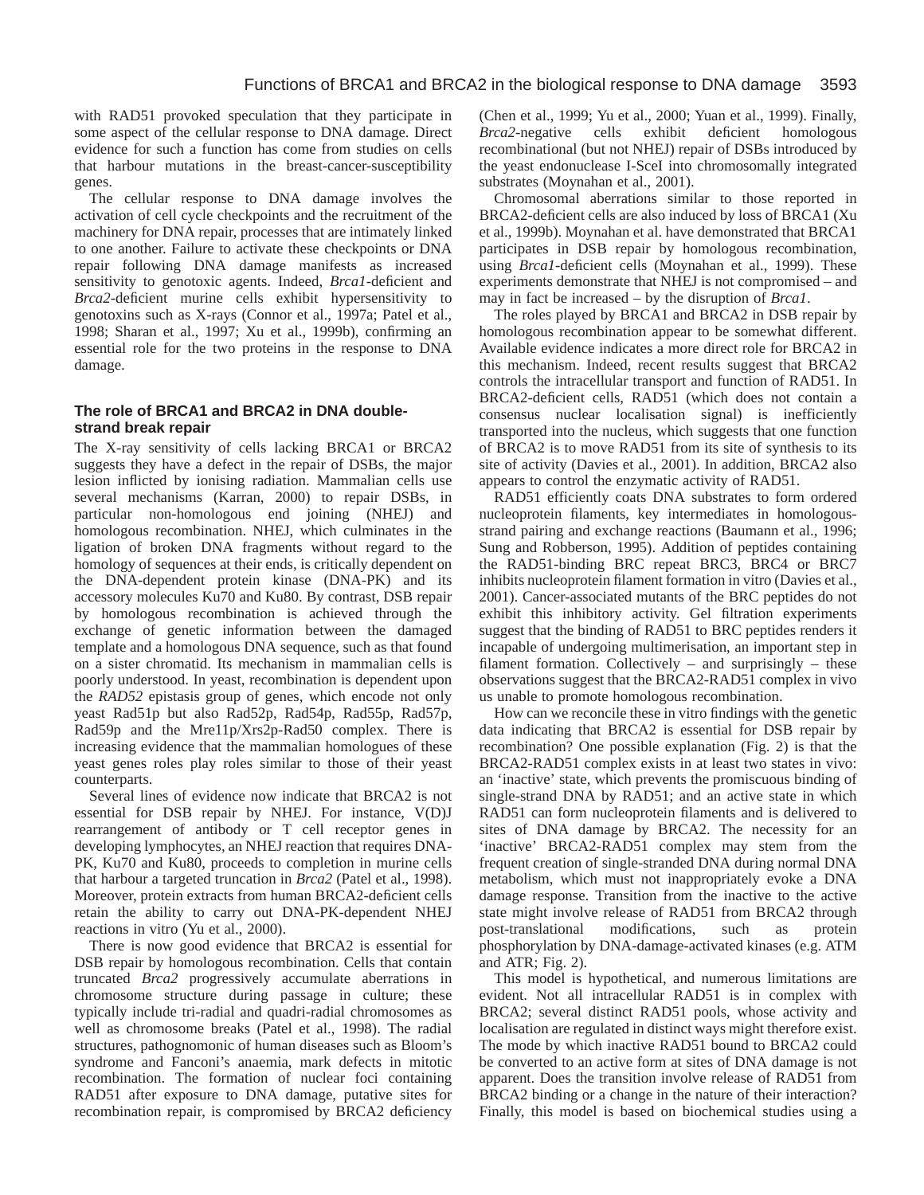with RAD51 provoked speculation that they participate in some aspect of the cellular response to DNA damage. Direct evidence for such a function has come from studies on cells that harbour mutations in the breast-cancer-susceptibility genes.

The cellular response to DNA damage involves the activation of cell cycle checkpoints and the recruitment of the machinery for DNA repair, processes that are intimately linked to one another. Failure to activate these checkpoints or DNA repair following DNA damage manifests as increased sensitivity to genotoxic agents. Indeed, *Brca1*-deficient and *Brca2*-deficient murine cells exhibit hypersensitivity to genotoxins such as X-rays (Connor et al., 1997a; Patel et al., 1998; Sharan et al., 1997; Xu et al., 1999b), confirming an essential role for the two proteins in the response to DNA damage.

# **The role of BRCA1 and BRCA2 in DNA doublestrand break repair**

The X-ray sensitivity of cells lacking BRCA1 or BRCA2 suggests they have a defect in the repair of DSBs, the major lesion inflicted by ionising radiation. Mammalian cells use several mechanisms (Karran, 2000) to repair DSBs, in particular non-homologous end joining (NHEJ) and homologous recombination. NHEJ, which culminates in the ligation of broken DNA fragments without regard to the homology of sequences at their ends, is critically dependent on the DNA-dependent protein kinase (DNA-PK) and its accessory molecules Ku70 and Ku80. By contrast, DSB repair by homologous recombination is achieved through the exchange of genetic information between the damaged template and a homologous DNA sequence, such as that found on a sister chromatid. Its mechanism in mammalian cells is poorly understood. In yeast, recombination is dependent upon the *RAD52* epistasis group of genes, which encode not only yeast Rad51p but also Rad52p, Rad54p, Rad55p, Rad57p, Rad59p and the Mre11p/Xrs2p-Rad50 complex. There is increasing evidence that the mammalian homologues of these yeast genes roles play roles similar to those of their yeast counterparts.

Several lines of evidence now indicate that BRCA2 is not essential for DSB repair by NHEJ. For instance, V(D)J rearrangement of antibody or T cell receptor genes in developing lymphocytes, an NHEJ reaction that requires DNA-PK, Ku70 and Ku80, proceeds to completion in murine cells that harbour a targeted truncation in *Brca2* (Patel et al., 1998). Moreover, protein extracts from human BRCA2-deficient cells retain the ability to carry out DNA-PK-dependent NHEJ reactions in vitro (Yu et al., 2000).

There is now good evidence that BRCA2 is essential for DSB repair by homologous recombination. Cells that contain truncated *Brca2* progressively accumulate aberrations in chromosome structure during passage in culture; these typically include tri-radial and quadri-radial chromosomes as well as chromosome breaks (Patel et al., 1998). The radial structures, pathognomonic of human diseases such as Bloom's syndrome and Fanconi's anaemia, mark defects in mitotic recombination. The formation of nuclear foci containing RAD51 after exposure to DNA damage, putative sites for recombination repair, is compromised by BRCA2 deficiency (Chen et al., 1999; Yu et al., 2000; Yuan et al., 1999). Finally, *Brca2*-negative cells exhibit deficient homologous recombinational (but not NHEJ) repair of DSBs introduced by the yeast endonuclease I-SceI into chromosomally integrated substrates (Moynahan et al., 2001).

Chromosomal aberrations similar to those reported in BRCA2-deficient cells are also induced by loss of BRCA1 (Xu et al., 1999b). Moynahan et al. have demonstrated that BRCA1 participates in DSB repair by homologous recombination, using *Brca1*-deficient cells (Moynahan et al., 1999). These experiments demonstrate that NHEJ is not compromised – and may in fact be increased – by the disruption of *Brca1*.

The roles played by BRCA1 and BRCA2 in DSB repair by homologous recombination appear to be somewhat different. Available evidence indicates a more direct role for BRCA2 in this mechanism. Indeed, recent results suggest that BRCA2 controls the intracellular transport and function of RAD51. In BRCA2-deficient cells, RAD51 (which does not contain a consensus nuclear localisation signal) is inefficiently transported into the nucleus, which suggests that one function of BRCA2 is to move RAD51 from its site of synthesis to its site of activity (Davies et al., 2001). In addition, BRCA2 also appears to control the enzymatic activity of RAD51.

RAD51 efficiently coats DNA substrates to form ordered nucleoprotein filaments, key intermediates in homologousstrand pairing and exchange reactions (Baumann et al., 1996; Sung and Robberson, 1995). Addition of peptides containing the RAD51-binding BRC repeat BRC3, BRC4 or BRC7 inhibits nucleoprotein filament formation in vitro (Davies et al., 2001). Cancer-associated mutants of the BRC peptides do not exhibit this inhibitory activity. Gel filtration experiments suggest that the binding of RAD51 to BRC peptides renders it incapable of undergoing multimerisation, an important step in filament formation. Collectively – and surprisingly – these observations suggest that the BRCA2-RAD51 complex in vivo us unable to promote homologous recombination.

How can we reconcile these in vitro findings with the genetic data indicating that BRCA2 is essential for DSB repair by recombination? One possible explanation (Fig. 2) is that the BRCA2-RAD51 complex exists in at least two states in vivo: an 'inactive' state, which prevents the promiscuous binding of single-strand DNA by RAD51; and an active state in which RAD51 can form nucleoprotein filaments and is delivered to sites of DNA damage by BRCA2. The necessity for an 'inactive' BRCA2-RAD51 complex may stem from the frequent creation of single-stranded DNA during normal DNA metabolism, which must not inappropriately evoke a DNA damage response. Transition from the inactive to the active state might involve release of RAD51 from BRCA2 through post-translational modifications, such as protein phosphorylation by DNA-damage-activated kinases (e.g. ATM and ATR; Fig. 2).

This model is hypothetical, and numerous limitations are evident. Not all intracellular RAD51 is in complex with BRCA2; several distinct RAD51 pools, whose activity and localisation are regulated in distinct ways might therefore exist. The mode by which inactive RAD51 bound to BRCA2 could be converted to an active form at sites of DNA damage is not apparent. Does the transition involve release of RAD51 from BRCA2 binding or a change in the nature of their interaction? Finally, this model is based on biochemical studies using a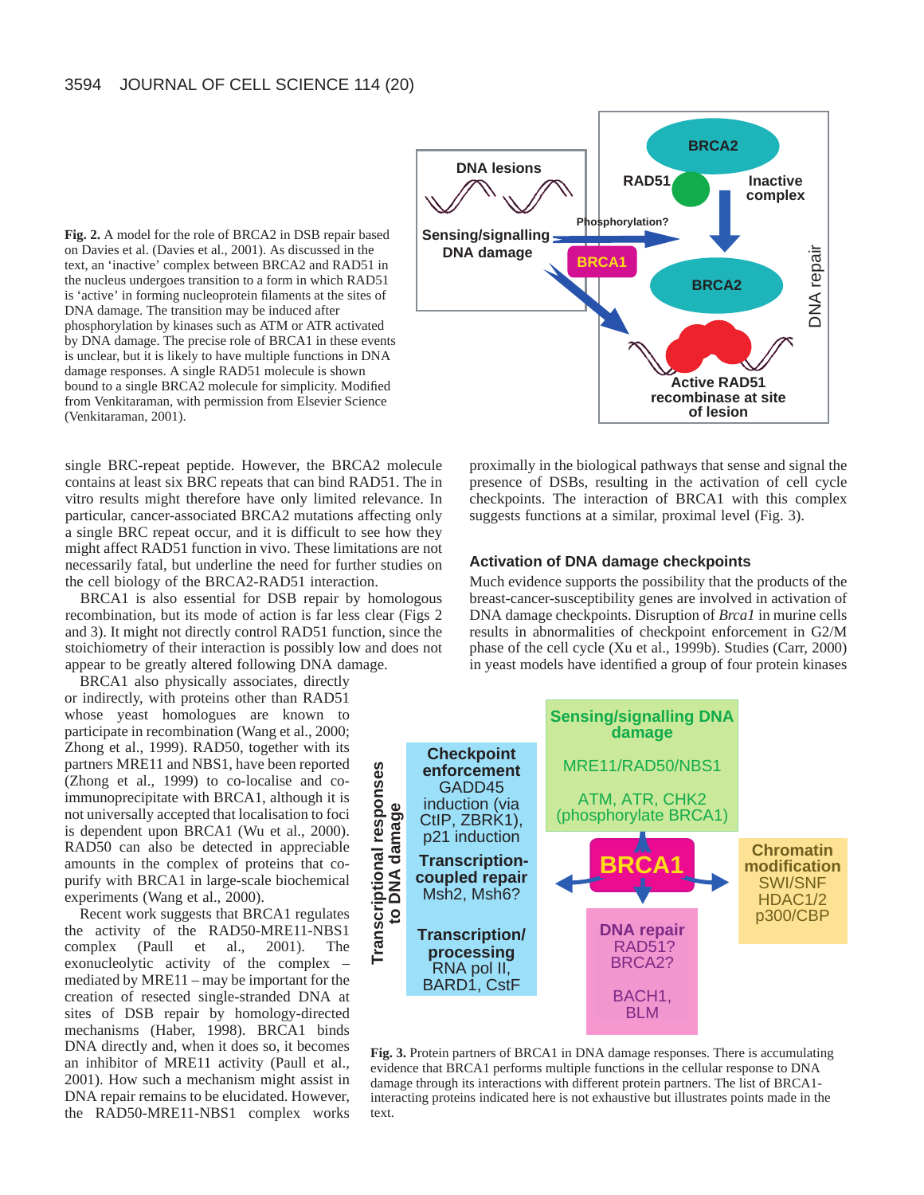**Fig. 2.** A model for the role of BRCA2 in DSB repair based on Davies et al. (Davies et al., 2001). As discussed in the text, an 'inactive' complex between BRCA2 and RAD51 in the nucleus undergoes transition to a form in which RAD51 is 'active' in forming nucleoprotein filaments at the sites of DNA damage. The transition may be induced after phosphorylation by kinases such as ATM or ATR activated by DNA damage. The precise role of BRCA1 in these events is unclear, but it is likely to have multiple functions in DNA damage responses. A single RAD51 molecule is shown bound to a single BRCA2 molecule for simplicity. Modified from Venkitaraman, with permission from Elsevier Science (Venkitaraman, 2001).



single BRC-repeat peptide. However, the BRCA2 molecule contains at least six BRC repeats that can bind RAD51. The in vitro results might therefore have only limited relevance. In particular, cancer-associated BRCA2 mutations affecting only a single BRC repeat occur, and it is difficult to see how they might affect RAD51 function in vivo. These limitations are not necessarily fatal, but underline the need for further studies on the cell biology of the BRCA2-RAD51 interaction.

BRCA1 is also essential for DSB repair by homologous recombination, but its mode of action is far less clear (Figs 2 and 3). It might not directly control RAD51 function, since the stoichiometry of their interaction is possibly low and does not appear to be greatly altered following DNA damage.

BRCA1 also physically associates, directly or indirectly, with proteins other than RAD51 whose yeast homologues are known to participate in recombination (Wang et al., 2000; Zhong et al., 1999). RAD50, together with its partners MRE11 and NBS1, have been reported (Zhong et al., 1999) to co-localise and coimmunoprecipitate with BRCA1, although it is not universally accepted that localisation to foci is dependent upon BRCA1 (Wu et al., 2000). RAD50 can also be detected in appreciable amounts in the complex of proteins that copurify with BRCA1 in large-scale biochemical experiments (Wang et al., 2000).

Recent work suggests that BRCA1 regulates the activity of the RAD50-MRE11-NBS1 complex (Paull et al., 2001). The exonucleolytic activity of the complex – mediated by MRE11 – may be important for the creation of resected single-stranded DNA at sites of DSB repair by homology-directed mechanisms (Haber, 1998). BRCA1 binds DNA directly and, when it does so, it becomes an inhibitor of MRE11 activity (Paull et al., 2001). How such a mechanism might assist in DNA repair remains to be elucidated. However, the RAD50-MRE11-NBS1 complex works

proximally in the biological pathways that sense and signal the presence of DSBs, resulting in the activation of cell cycle checkpoints. The interaction of BRCA1 with this complex suggests functions at a similar, proximal level (Fig. 3).

#### **Activation of DNA damage checkpoints**

Much evidence supports the possibility that the products of the breast-cancer-susceptibility genes are involved in activation of DNA damage checkpoints. Disruption of *Brca1* in murine cells results in abnormalities of checkpoint enforcement in G2/M phase of the cell cycle (Xu et al., 1999b). Studies (Carr, 2000) in yeast models have identified a group of four protein kinases



**Fig. 3.** Protein partners of BRCA1 in DNA damage responses. There is accumulating evidence that BRCA1 performs multiple functions in the cellular response to DNA damage through its interactions with different protein partners. The list of BRCA1 interacting proteins indicated here is not exhaustive but illustrates points made in the text.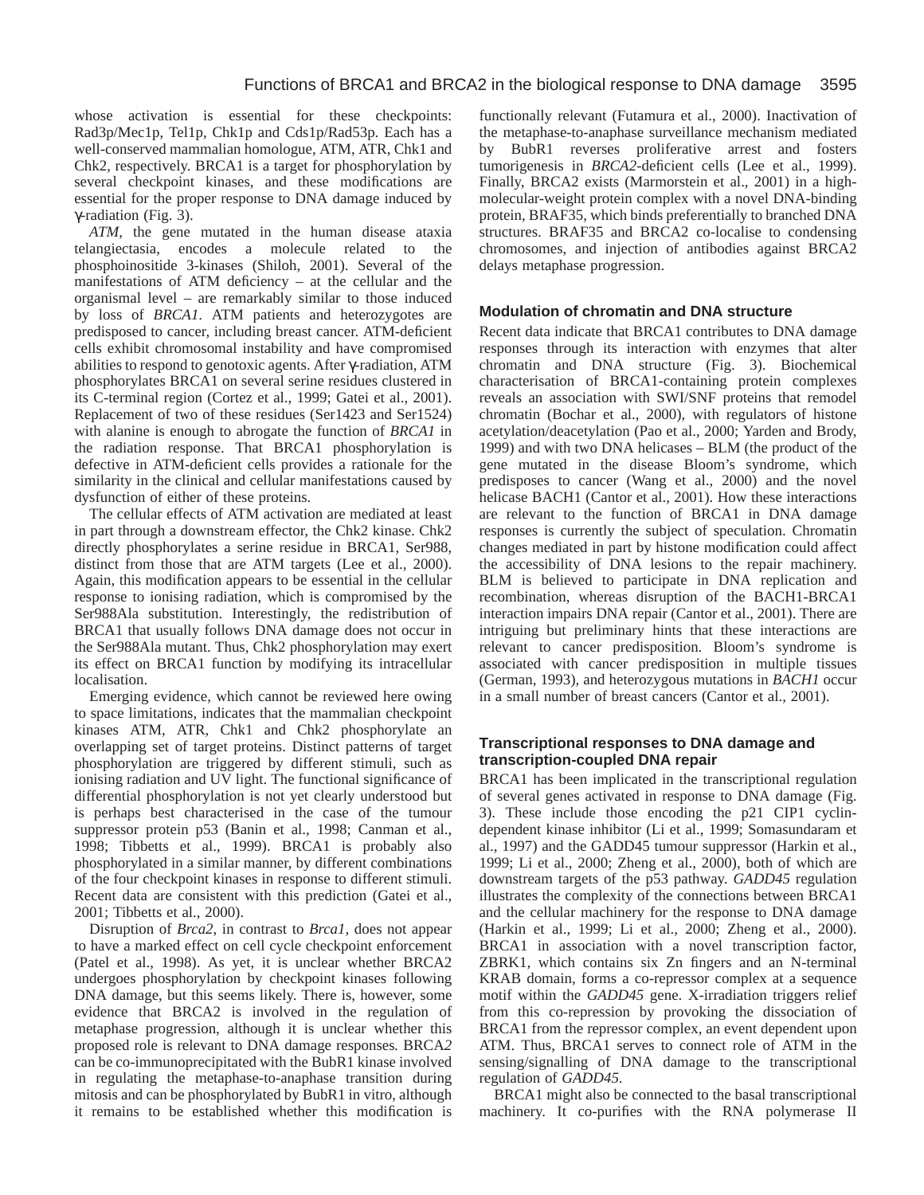whose activation is essential for these checkpoints: Rad3p/Mec1p, Tel1p, Chk1p and Cds1p/Rad53p. Each has a well-conserved mammalian homologue, ATM, ATR, Chk1 and Chk2, respectively. BRCA1 is a target for phosphorylation by several checkpoint kinases, and these modifications are essential for the proper response to DNA damage induced by γ-radiation (Fig. 3).

*ATM*, the gene mutated in the human disease ataxia telangiectasia, encodes a molecule related to the phosphoinositide 3-kinases (Shiloh, 2001). Several of the manifestations of ATM deficiency – at the cellular and the organismal level – are remarkably similar to those induced by loss of *BRCA1*. ATM patients and heterozygotes are predisposed to cancer, including breast cancer. ATM-deficient cells exhibit chromosomal instability and have compromised abilities to respond to genotoxic agents. After γ-radiation, ATM phosphorylates BRCA1 on several serine residues clustered in its C-terminal region (Cortez et al., 1999; Gatei et al., 2001). Replacement of two of these residues (Ser1423 and Ser1524) with alanine is enough to abrogate the function of *BRCA1* in the radiation response. That BRCA1 phosphorylation is defective in ATM-deficient cells provides a rationale for the similarity in the clinical and cellular manifestations caused by dysfunction of either of these proteins.

The cellular effects of ATM activation are mediated at least in part through a downstream effector, the Chk2 kinase. Chk2 directly phosphorylates a serine residue in BRCA1, Ser988, distinct from those that are ATM targets (Lee et al., 2000). Again, this modification appears to be essential in the cellular response to ionising radiation, which is compromised by the Ser988Ala substitution. Interestingly, the redistribution of BRCA1 that usually follows DNA damage does not occur in the Ser988Ala mutant. Thus, Chk2 phosphorylation may exert its effect on BRCA1 function by modifying its intracellular localisation.

Emerging evidence, which cannot be reviewed here owing to space limitations, indicates that the mammalian checkpoint kinases ATM, ATR, Chk1 and Chk2 phosphorylate an overlapping set of target proteins. Distinct patterns of target phosphorylation are triggered by different stimuli, such as ionising radiation and UV light. The functional significance of differential phosphorylation is not yet clearly understood but is perhaps best characterised in the case of the tumour suppressor protein p53 (Banin et al., 1998; Canman et al., 1998; Tibbetts et al., 1999). BRCA1 is probably also phosphorylated in a similar manner, by different combinations of the four checkpoint kinases in response to different stimuli. Recent data are consistent with this prediction (Gatei et al., 2001; Tibbetts et al., 2000).

Disruption of *Brca2*, in contrast to *Brca1*, does not appear to have a marked effect on cell cycle checkpoint enforcement (Patel et al., 1998). As yet, it is unclear whether BRCA2 undergoes phosphorylation by checkpoint kinases following DNA damage, but this seems likely. There is, however, some evidence that BRCA2 is involved in the regulation of metaphase progression, although it is unclear whether this proposed role is relevant to DNA damage responses*.* BRCA*2* can be co-immunoprecipitated with the BubR1 kinase involved in regulating the metaphase-to-anaphase transition during mitosis and can be phosphorylated by BubR1 in vitro, although it remains to be established whether this modification is

functionally relevant (Futamura et al., 2000). Inactivation of the metaphase-to-anaphase surveillance mechanism mediated by BubR1 reverses proliferative arrest and fosters tumorigenesis in *BRCA2*-deficient cells (Lee et al., 1999). Finally, BRCA2 exists (Marmorstein et al., 2001) in a highmolecular-weight protein complex with a novel DNA-binding protein, BRAF35, which binds preferentially to branched DNA structures. BRAF35 and BRCA2 co-localise to condensing chromosomes, and injection of antibodies against BRCA2 delays metaphase progression.

# **Modulation of chromatin and DNA structure**

Recent data indicate that BRCA1 contributes to DNA damage responses through its interaction with enzymes that alter chromatin and DNA structure (Fig. 3). Biochemical characterisation of BRCA1-containing protein complexes reveals an association with SWI/SNF proteins that remodel chromatin (Bochar et al., 2000), with regulators of histone acetylation/deacetylation (Pao et al., 2000; Yarden and Brody, 1999) and with two DNA helicases – BLM (the product of the gene mutated in the disease Bloom's syndrome, which predisposes to cancer (Wang et al., 2000) and the novel helicase BACH1 (Cantor et al., 2001). How these interactions are relevant to the function of BRCA1 in DNA damage responses is currently the subject of speculation. Chromatin changes mediated in part by histone modification could affect the accessibility of DNA lesions to the repair machinery. BLM is believed to participate in DNA replication and recombination, whereas disruption of the BACH1-BRCA1 interaction impairs DNA repair (Cantor et al., 2001). There are intriguing but preliminary hints that these interactions are relevant to cancer predisposition. Bloom's syndrome is associated with cancer predisposition in multiple tissues (German, 1993), and heterozygous mutations in *BACH1* occur in a small number of breast cancers (Cantor et al., 2001).

# **Transcriptional responses to DNA damage and transcription-coupled DNA repair**

BRCA1 has been implicated in the transcriptional regulation of several genes activated in response to DNA damage (Fig. 3). These include those encoding the p21 CIP1 cyclindependent kinase inhibitor (Li et al., 1999; Somasundaram et al., 1997) and the GADD45 tumour suppressor (Harkin et al., 1999; Li et al., 2000; Zheng et al., 2000), both of which are downstream targets of the p53 pathway. *GADD45* regulation illustrates the complexity of the connections between BRCA1 and the cellular machinery for the response to DNA damage (Harkin et al., 1999; Li et al., 2000; Zheng et al., 2000). BRCA1 in association with a novel transcription factor, ZBRK1, which contains six Zn fingers and an N-terminal KRAB domain, forms a co-repressor complex at a sequence motif within the *GADD45* gene. X-irradiation triggers relief from this co-repression by provoking the dissociation of BRCA1 from the repressor complex, an event dependent upon ATM. Thus, BRCA1 serves to connect role of ATM in the sensing/signalling of DNA damage to the transcriptional regulation of *GADD45*.

BRCA1 might also be connected to the basal transcriptional machinery. It co-purifies with the RNA polymerase II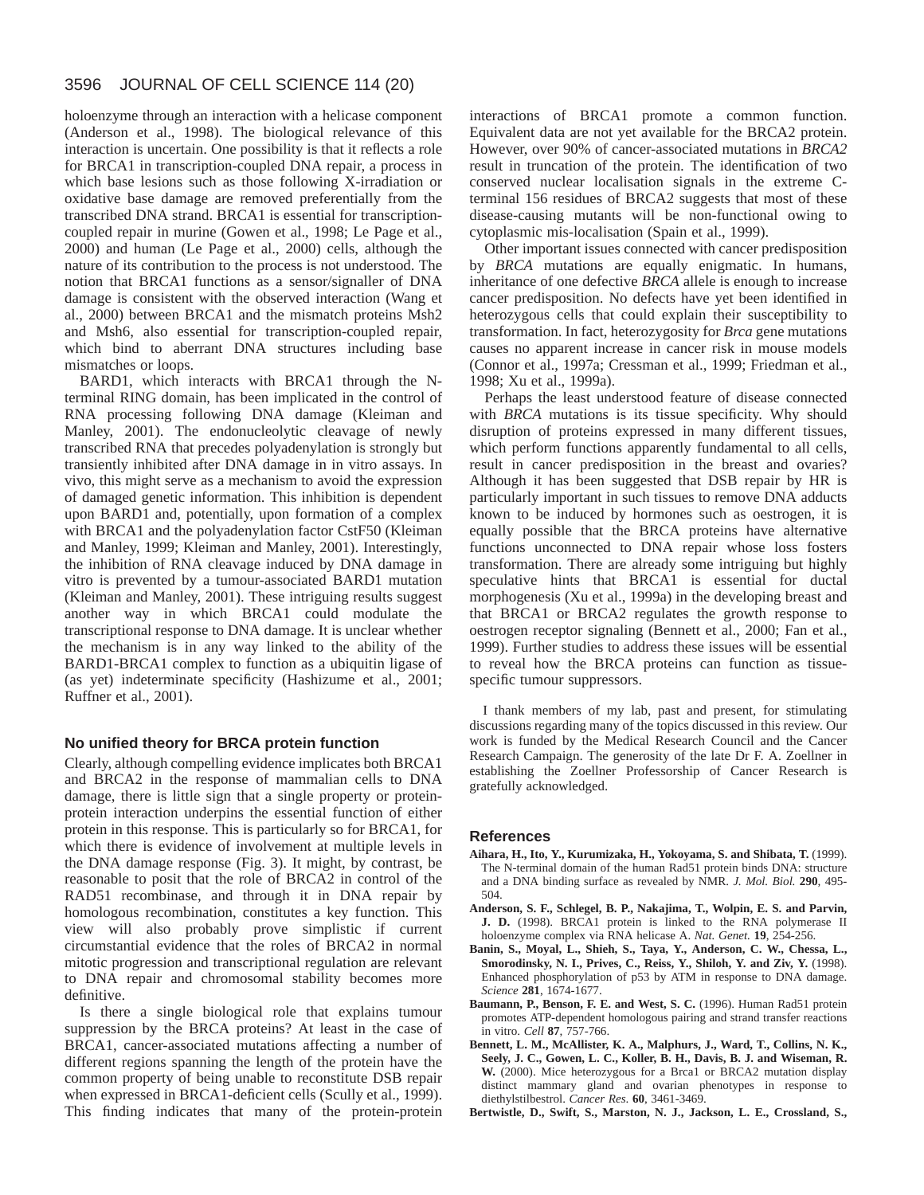#### 3596 JOURNAL OF CELL SCIENCE 114 (20)

holoenzyme through an interaction with a helicase component (Anderson et al., 1998). The biological relevance of this interaction is uncertain. One possibility is that it reflects a role for BRCA1 in transcription-coupled DNA repair, a process in which base lesions such as those following X-irradiation or oxidative base damage are removed preferentially from the transcribed DNA strand. BRCA1 is essential for transcriptioncoupled repair in murine (Gowen et al., 1998; Le Page et al., 2000) and human (Le Page et al., 2000) cells, although the nature of its contribution to the process is not understood. The notion that BRCA1 functions as a sensor/signaller of DNA damage is consistent with the observed interaction (Wang et al., 2000) between BRCA1 and the mismatch proteins Msh2 and Msh6, also essential for transcription-coupled repair, which bind to aberrant DNA structures including base mismatches or loops.

BARD1, which interacts with BRCA1 through the Nterminal RING domain, has been implicated in the control of RNA processing following DNA damage (Kleiman and Manley, 2001). The endonucleolytic cleavage of newly transcribed RNA that precedes polyadenylation is strongly but transiently inhibited after DNA damage in in vitro assays. In vivo, this might serve as a mechanism to avoid the expression of damaged genetic information. This inhibition is dependent upon BARD1 and, potentially, upon formation of a complex with BRCA1 and the polyadenylation factor CstF50 (Kleiman and Manley, 1999; Kleiman and Manley, 2001). Interestingly, the inhibition of RNA cleavage induced by DNA damage in vitro is prevented by a tumour-associated BARD1 mutation (Kleiman and Manley, 2001). These intriguing results suggest another way in which BRCA1 could modulate the transcriptional response to DNA damage. It is unclear whether the mechanism is in any way linked to the ability of the BARD1-BRCA1 complex to function as a ubiquitin ligase of (as yet) indeterminate specificity (Hashizume et al., 2001; Ruffner et al., 2001).

#### **No unified theory for BRCA protein function**

Clearly, although compelling evidence implicates both BRCA1 and BRCA2 in the response of mammalian cells to DNA damage, there is little sign that a single property or proteinprotein interaction underpins the essential function of either protein in this response. This is particularly so for BRCA1, for which there is evidence of involvement at multiple levels in the DNA damage response (Fig. 3). It might, by contrast, be reasonable to posit that the role of BRCA2 in control of the RAD51 recombinase, and through it in DNA repair by homologous recombination, constitutes a key function. This view will also probably prove simplistic if current circumstantial evidence that the roles of BRCA2 in normal mitotic progression and transcriptional regulation are relevant to DNA repair and chromosomal stability becomes more definitive.

Is there a single biological role that explains tumour suppression by the BRCA proteins? At least in the case of BRCA1, cancer-associated mutations affecting a number of different regions spanning the length of the protein have the common property of being unable to reconstitute DSB repair when expressed in BRCA1-deficient cells (Scully et al., 1999). This finding indicates that many of the protein-protein interactions of BRCA1 promote a common function. Equivalent data are not yet available for the BRCA2 protein. However, over 90% of cancer-associated mutations in *BRCA2* result in truncation of the protein. The identification of two conserved nuclear localisation signals in the extreme Cterminal 156 residues of BRCA2 suggests that most of these disease-causing mutants will be non-functional owing to cytoplasmic mis-localisation (Spain et al., 1999).

Other important issues connected with cancer predisposition by *BRCA* mutations are equally enigmatic. In humans, inheritance of one defective *BRCA* allele is enough to increase cancer predisposition. No defects have yet been identified in heterozygous cells that could explain their susceptibility to transformation. In fact, heterozygosity for *Brca* gene mutations causes no apparent increase in cancer risk in mouse models (Connor et al., 1997a; Cressman et al., 1999; Friedman et al., 1998; Xu et al., 1999a).

Perhaps the least understood feature of disease connected with *BRCA* mutations is its tissue specificity. Why should disruption of proteins expressed in many different tissues, which perform functions apparently fundamental to all cells, result in cancer predisposition in the breast and ovaries? Although it has been suggested that DSB repair by HR is particularly important in such tissues to remove DNA adducts known to be induced by hormones such as oestrogen, it is equally possible that the BRCA proteins have alternative functions unconnected to DNA repair whose loss fosters transformation. There are already some intriguing but highly speculative hints that BRCA1 is essential for ductal morphogenesis (Xu et al., 1999a) in the developing breast and that BRCA1 or BRCA2 regulates the growth response to oestrogen receptor signaling (Bennett et al., 2000; Fan et al., 1999). Further studies to address these issues will be essential to reveal how the BRCA proteins can function as tissuespecific tumour suppressors.

I thank members of my lab, past and present, for stimulating discussions regarding many of the topics discussed in this review. Our work is funded by the Medical Research Council and the Cancer Research Campaign. The generosity of the late Dr F. A. Zoellner in establishing the Zoellner Professorship of Cancer Research is gratefully acknowledged.

#### **References**

- **Aihara, H., Ito, Y., Kurumizaka, H., Yokoyama, S. and Shibata, T.** (1999). The N-terminal domain of the human Rad51 protein binds DNA: structure and a DNA binding surface as revealed by NMR. *J. Mol. Biol.* **290**, 495- 504.
- **Anderson, S. F., Schlegel, B. P., Nakajima, T., Wolpin, E. S. and Parvin, J. D.** (1998). BRCA1 protein is linked to the RNA polymerase II holoenzyme complex via RNA helicase A. *Nat. Genet.* **19**, 254-256.
- **Banin, S., Moyal, L., Shieh, S., Taya, Y., Anderson, C. W., Chessa, L., Smorodinsky, N. I., Prives, C., Reiss, Y., Shiloh, Y. and Ziv, Y.** (1998). Enhanced phosphorylation of p53 by ATM in response to DNA damage. *Science* **281**, 1674-1677.
- **Baumann, P., Benson, F. E. and West, S. C.** (1996). Human Rad51 protein promotes ATP-dependent homologous pairing and strand transfer reactions in vitro. *Cell* **87**, 757-766.
- **Bennett, L. M., McAllister, K. A., Malphurs, J., Ward, T., Collins, N. K., Seely, J. C., Gowen, L. C., Koller, B. H., Davis, B. J. and Wiseman, R. W.** (2000). Mice heterozygous for a Brca1 or BRCA2 mutation display distinct mammary gland and ovarian phenotypes in response to diethylstilbestrol. *Cancer Res*. **60**, 3461-3469.
- **Bertwistle, D., Swift, S., Marston, N. J., Jackson, L. E., Crossland, S.,**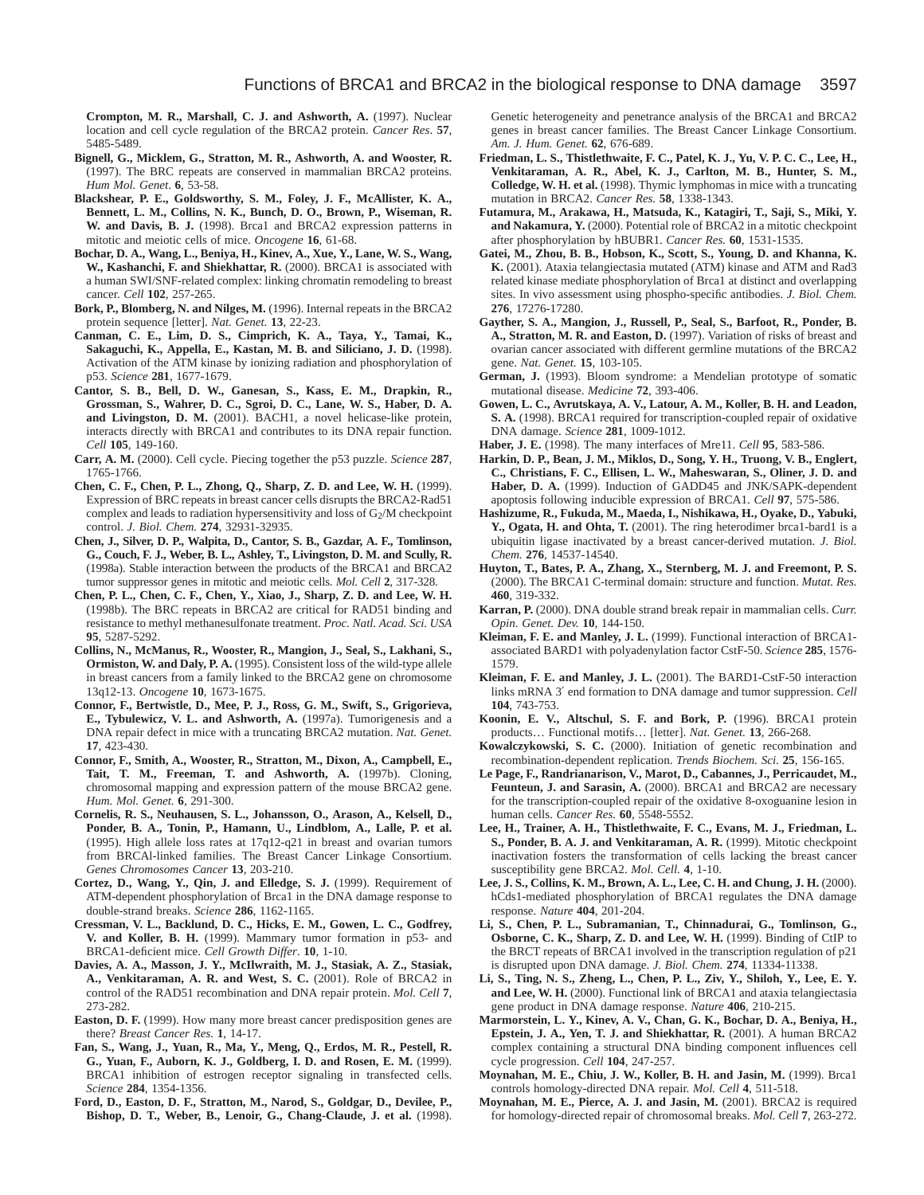**Crompton, M. R., Marshall, C. J. and Ashworth, A.** (1997). Nuclear location and cell cycle regulation of the BRCA2 protein. *Cancer Res*. **57**, 5485-5489.

- **Bignell, G., Micklem, G., Stratton, M. R., Ashworth, A. and Wooster, R.** (1997). The BRC repeats are conserved in mammalian BRCA2 proteins. *Hum Mol. Genet*. **6**, 53-58.
- **Blackshear, P. E., Goldsworthy, S. M., Foley, J. F., McAllister, K. A., Bennett, L. M., Collins, N. K., Bunch, D. O., Brown, P., Wiseman, R. W. and Davis, B. J.** (1998). Brca1 and BRCA2 expression patterns in mitotic and meiotic cells of mice. *Oncogene* **16**, 61-68.
- **Bochar, D. A., Wang, L., Beniya, H., Kinev, A., Xue, Y., Lane, W. S., Wang, W., Kashanchi, F. and Shiekhattar, R.** (2000). BRCA1 is associated with a human SWI/SNF-related complex: linking chromatin remodeling to breast cancer. *Cell* **102**, 257-265.
- **Bork, P., Blomberg, N. and Nilges, M.** (1996). Internal repeats in the BRCA2 protein sequence [letter]. *Nat. Genet.* **13**, 22-23.
- **Canman, C. E., Lim, D. S., Cimprich, K. A., Taya, Y., Tamai, K., Sakaguchi, K., Appella, E., Kastan, M. B. and Siliciano, J. D.** (1998). Activation of the ATM kinase by ionizing radiation and phosphorylation of p53. *Science* **281**, 1677-1679.
- **Cantor, S. B., Bell, D. W., Ganesan, S., Kass, E. M., Drapkin, R., Grossman, S., Wahrer, D. C., Sgroi, D. C., Lane, W. S., Haber, D. A. and Livingston, D. M.** (2001). BACH1, a novel helicase-like protein, interacts directly with BRCA1 and contributes to its DNA repair function. *Cell* **105**, 149-160.
- **Carr, A. M.** (2000). Cell cycle. Piecing together the p53 puzzle. *Science* **287**, 1765-1766.
- **Chen, C. F., Chen, P. L., Zhong, Q., Sharp, Z. D. and Lee, W. H.** (1999). Expression of BRC repeats in breast cancer cells disrupts the BRCA2-Rad51 complex and leads to radiation hypersensitivity and loss of G<sub>2</sub>/M checkpoint control. *J. Biol. Chem.* **274**, 32931-32935.
- **Chen, J., Silver, D. P., Walpita, D., Cantor, S. B., Gazdar, A. F., Tomlinson, G., Couch, F. J., Weber, B. L., Ashley, T., Livingston, D. M. and Scully, R.** (1998a). Stable interaction between the products of the BRCA1 and BRCA2 tumor suppressor genes in mitotic and meiotic cells. *Mol. Cell* **2**, 317-328.
- **Chen, P. L., Chen, C. F., Chen, Y., Xiao, J., Sharp, Z. D. and Lee, W. H.** (1998b). The BRC repeats in BRCA2 are critical for RAD51 binding and resistance to methyl methanesulfonate treatment. *Proc. Natl. Acad. Sci. USA* **95**, 5287-5292.
- **Collins, N., McManus, R., Wooster, R., Mangion, J., Seal, S., Lakhani, S., Ormiston, W. and Daly, P. A.** (1995). Consistent loss of the wild-type allele in breast cancers from a family linked to the BRCA2 gene on chromosome 13q12-13. *Oncogene* **10**, 1673-1675.
- **Connor, F., Bertwistle, D., Mee, P. J., Ross, G. M., Swift, S., Grigorieva,** E., Tybulewicz, V. L. and Ashworth, A. (1997a). Tumorigenesis and a DNA repair defect in mice with a truncating BRCA2 mutation. *Nat. Genet.* **17**, 423-430.
- **Connor, F., Smith, A., Wooster, R., Stratton, M., Dixon, A., Campbell, E., Tait, T. M., Freeman, T. and Ashworth, A.** (1997b). Cloning, chromosomal mapping and expression pattern of the mouse BRCA2 gene. *Hum. Mol. Genet.* **6**, 291-300.
- **Cornelis, R. S., Neuhausen, S. L., Johansson, O., Arason, A., Kelsell, D., Ponder, B. A., Tonin, P., Hamann, U., Lindblom, A., Lalle, P. et al.** (1995). High allele loss rates at 17q12-q21 in breast and ovarian tumors from BRCAl-linked families. The Breast Cancer Linkage Consortium. *Genes Chromosomes Cancer* **13**, 203-210.
- Cortez, D., Wang, Y., Qin, J. and Elledge, S. J. (1999). Requirement of ATM-dependent phosphorylation of Brca1 in the DNA damage response to double-strand breaks. *Science* **286**, 1162-1165.
- **Cressman, V. L., Backlund, D. C., Hicks, E. M., Gowen, L. C., Godfrey, V. and Koller, B. H.** (1999). Mammary tumor formation in p53- and BRCA1-deficient mice. *Cell Growth Differ*. **10**, 1-10.
- **Davies, A. A., Masson, J. Y., McIlwraith, M. J., Stasiak, A. Z., Stasiak, A., Venkitaraman, A. R. and West, S. C.** (2001). Role of BRCA2 in control of the RAD51 recombination and DNA repair protein. *Mol. Cell* **7**, 273-282.
- **Easton, D. F.** (1999). How many more breast cancer predisposition genes are there? *Breast Cancer Res.* **1**, 14-17.
- **Fan, S., Wang, J., Yuan, R., Ma, Y., Meng, Q., Erdos, M. R., Pestell, R. G., Yuan, F., Auborn, K. J., Goldberg, I. D. and Rosen, E. M.** (1999). BRCA1 inhibition of estrogen receptor signaling in transfected cells. *Science* **284**, 1354-1356.
- **Ford, D., Easton, D. F., Stratton, M., Narod, S., Goldgar, D., Devilee, P., Bishop, D. T., Weber, B., Lenoir, G., Chang-Claude, J. et al.** (1998).

Genetic heterogeneity and penetrance analysis of the BRCA1 and BRCA2 genes in breast cancer families. The Breast Cancer Linkage Consortium. *Am. J. Hum. Genet.* **62**, 676-689.

- **Friedman, L. S., Thistlethwaite, F. C., Patel, K. J., Yu, V. P. C. C., Lee, H., Venkitaraman, A. R., Abel, K. J., Carlton, M. B., Hunter, S. M., Colledge, W. H. et al.** (1998). Thymic lymphomas in mice with a truncating mutation in BRCA2. *Cancer Res.* **58**, 1338-1343.
- **Futamura, M., Arakawa, H., Matsuda, K., Katagiri, T., Saji, S., Miki, Y. and Nakamura, Y.** (2000). Potential role of BRCA2 in a mitotic checkpoint after phosphorylation by hBUBR1. *Cancer Res.* **60**, 1531-1535.
- **Gatei, M., Zhou, B. B., Hobson, K., Scott, S., Young, D. and Khanna, K. K.** (2001). Ataxia telangiectasia mutated (ATM) kinase and ATM and Rad3 related kinase mediate phosphorylation of Brca1 at distinct and overlapping sites. In vivo assessment using phospho-specific antibodies. *J. Biol. Chem.* **276**, 17276-17280.
- **Gayther, S. A., Mangion, J., Russell, P., Seal, S., Barfoot, R., Ponder, B. A., Stratton, M. R. and Easton, D.** (1997). Variation of risks of breast and ovarian cancer associated with different germline mutations of the BRCA2 gene. *Nat. Genet.* **15**, 103-105.
- **German, J.** (1993). Bloom syndrome: a Mendelian prototype of somatic mutational disease. *Medicine* **72**, 393-406.
- **Gowen, L. C., Avrutskaya, A. V., Latour, A. M., Koller, B. H. and Leadon, S. A.** (1998). BRCA1 required for transcription-coupled repair of oxidative DNA damage. *Science* **281**, 1009-1012.
- **Haber, J. E.** (1998). The many interfaces of Mre11. *Cell* **95**, 583-586.
- **Harkin, D. P., Bean, J. M., Miklos, D., Song, Y. H., Truong, V. B., Englert, C., Christians, F. C., Ellisen, L. W., Maheswaran, S., Oliner, J. D. and Haber, D. A.** (1999). Induction of GADD45 and JNK/SAPK-dependent apoptosis following inducible expression of BRCA1. *Cell* **97**, 575-586.
- **Hashizume, R., Fukuda, M., Maeda, I., Nishikawa, H., Oyake, D., Yabuki,** Y., Ogata, H. and Ohta, T. (2001). The ring heterodimer brca1-bard1 is a ubiquitin ligase inactivated by a breast cancer-derived mutation. *J. Biol. Chem.* **276**, 14537-14540.
- **Huyton, T., Bates, P. A., Zhang, X., Sternberg, M. J. and Freemont, P. S.** (2000). The BRCA1 C-terminal domain: structure and function. *Mutat. Res.* **460**, 319-332.
- **Karran, P.** (2000). DNA double strand break repair in mammalian cells. *Curr. Opin. Genet. Dev.* **10**, 144-150.
- **Kleiman, F. E. and Manley, J. L.** (1999). Functional interaction of BRCA1 associated BARD1 with polyadenylation factor CstF-50. *Science* **285**, 1576- 1579.
- **Kleiman, F. E. and Manley, J. L.** (2001). The BARD1-CstF-50 interaction links mRNA 3′ end formation to DNA damage and tumor suppression. *Cell* **104**, 743-753.
- **Koonin, E. V., Altschul, S. F. and Bork, P.** (1996). BRCA1 protein products… Functional motifs… [letter]. *Nat. Genet.* **13**, 266-268.
- **Kowalczykowski, S. C.** (2000). Initiation of genetic recombination and recombination-dependent replication. *Trends Biochem. Sci.* **25**, 156-165.
- **Le Page, F., Randrianarison, V., Marot, D., Cabannes, J., Perricaudet, M.,** Feunteun, J. and Sarasin, A. (2000). BRCA1 and BRCA2 are necessary for the transcription-coupled repair of the oxidative 8-oxoguanine lesion in human cells. *Cancer Res.* **60**, 5548-5552.
- **Lee, H., Trainer, A. H., Thistlethwaite, F. C., Evans, M. J., Friedman, L. S., Ponder, B. A. J. and Venkitaraman, A. R.** (1999). Mitotic checkpoint inactivation fosters the transformation of cells lacking the breast cancer susceptibility gene BRCA2. *Mol. Cell.* **4**, 1-10.
- **Lee, J. S., Collins, K. M., Brown, A. L., Lee, C. H. and Chung, J. H.** (2000). hCds1-mediated phosphorylation of BRCA1 regulates the DNA damage response. *Nature* **404**, 201-204.
- **Li, S., Chen, P. L., Subramanian, T., Chinnadurai, G., Tomlinson, G., Osborne, C. K., Sharp, Z. D. and Lee, W. H.** (1999). Binding of CtIP to the BRCT repeats of BRCA1 involved in the transcription regulation of p21 is disrupted upon DNA damage. *J. Biol. Chem.* **274**, 11334-11338.
- **Li, S., Ting, N. S., Zheng, L., Chen, P. L., Ziv, Y., Shiloh, Y., Lee, E. Y. and Lee, W. H.** (2000). Functional link of BRCA1 and ataxia telangiectasia gene product in DNA damage response. *Nature* **406**, 210-215.
- **Marmorstein, L. Y., Kinev, A. V., Chan, G. K., Bochar, D. A., Beniya, H., Epstein, J. A., Yen, T. J. and Shiekhattar, R.** (2001). A human BRCA2 complex containing a structural DNA binding component influences cell cycle progression. *Cell* **104**, 247-257.
- **Moynahan, M. E., Chiu, J. W., Koller, B. H. and Jasin, M.** (1999). Brca1 controls homology-directed DNA repair. *Mol. Cell* **4**, 511-518.
- **Moynahan, M. E., Pierce, A. J. and Jasin, M.** (2001). BRCA2 is required for homology-directed repair of chromosomal breaks. *Mol. Cell* **7**, 263-272.